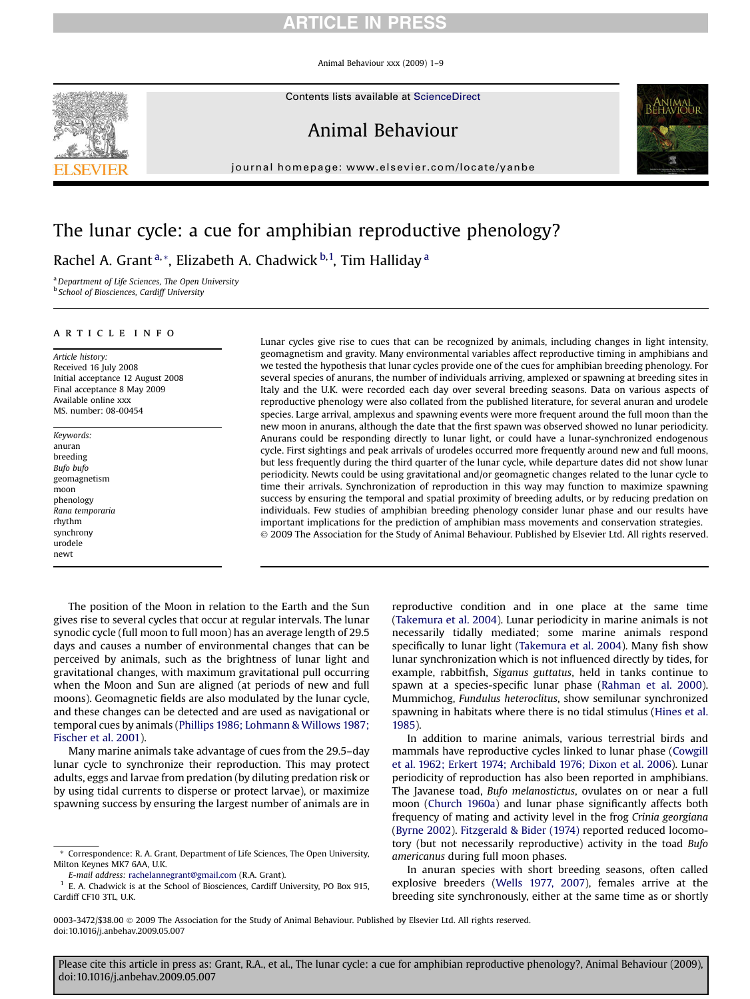Animal Behaviour xxx (2009) 1–9



Contents lists available at [ScienceDirect](www.sciencedirect.com/science/journal/00033472)

# Animal Behaviour



journal homepage: [www.elsevier.com/locate/yanbe](http://www.elsevier.com/locate/yanbe)

# The lunar cycle: a cue for amphibian reproductive phenology?

Rachel A. Grant<sup>a,</sup>\*, Elizabeth A. Chadwick <sup>b,1</sup>, Tim Halliday <sup>a</sup>

<sup>a</sup> Department of Life Sciences, The Open University **b** School of Biosciences, Cardiff University

### article info

Article history: Received 16 July 2008 Initial acceptance 12 August 2008 Final acceptance 8 May 2009 Available online xxx MS. number: 08-00454

Keywords: anuran breeding Bufo bufo geomagnetism moon phenology Rana temporaria rhythm synchrony urodele newt

Lunar cycles give rise to cues that can be recognized by animals, including changes in light intensity, geomagnetism and gravity. Many environmental variables affect reproductive timing in amphibians and we tested the hypothesis that lunar cycles provide one of the cues for amphibian breeding phenology. For several species of anurans, the number of individuals arriving, amplexed or spawning at breeding sites in Italy and the U.K. were recorded each day over several breeding seasons. Data on various aspects of reproductive phenology were also collated from the published literature, for several anuran and urodele species. Large arrival, amplexus and spawning events were more frequent around the full moon than the new moon in anurans, although the date that the first spawn was observed showed no lunar periodicity. Anurans could be responding directly to lunar light, or could have a lunar-synchronized endogenous cycle. First sightings and peak arrivals of urodeles occurred more frequently around new and full moons, but less frequently during the third quarter of the lunar cycle, while departure dates did not show lunar periodicity. Newts could be using gravitational and/or geomagnetic changes related to the lunar cycle to time their arrivals. Synchronization of reproduction in this way may function to maximize spawning success by ensuring the temporal and spatial proximity of breeding adults, or by reducing predation on individuals. Few studies of amphibian breeding phenology consider lunar phase and our results have important implications for the prediction of amphibian mass movements and conservation strategies. - 2009 The Association for the Study of Animal Behaviour. Published by Elsevier Ltd. All rights reserved.

The position of the Moon in relation to the Earth and the Sun gives rise to several cycles that occur at regular intervals. The lunar synodic cycle (full moon to full moon) has an average length of 29.5 days and causes a number of environmental changes that can be perceived by animals, such as the brightness of lunar light and gravitational changes, with maximum gravitational pull occurring when the Moon and Sun are aligned (at periods of new and full moons). Geomagnetic fields are also modulated by the lunar cycle, and these changes can be detected and are used as navigational or temporal cues by animals [\(Phillips 1986; Lohmann & Willows 1987;](#page-8-0) [Fischer et al. 2001](#page-8-0)).

Many marine animals take advantage of cues from the 29.5–day lunar cycle to synchronize their reproduction. This may protect adults, eggs and larvae from predation (by diluting predation risk or by using tidal currents to disperse or protect larvae), or maximize spawning success by ensuring the largest number of animals are in

E-mail address: [rachelannegrant@gmail.com](mailto:rachelannegrant@gmail.com) (R.A. Grant).

reproductive condition and in one place at the same time ([Takemura et al. 2004\)](#page-8-0). Lunar periodicity in marine animals is not necessarily tidally mediated; some marine animals respond specifically to lunar light ([Takemura et al. 2004\)](#page-8-0). Many fish show lunar synchronization which is not influenced directly by tides, for example, rabbitfish, Siganus guttatus, held in tanks continue to spawn at a species-specific lunar phase ([Rahman et al. 2000\)](#page-8-0). Mummichog, Fundulus heteroclitus, show semilunar synchronized spawning in habitats where there is no tidal stimulus [\(Hines et al.](#page-8-0) [1985\)](#page-8-0).

In addition to marine animals, various terrestrial birds and mammals have reproductive cycles linked to lunar phase [\(Cowgill](#page-8-0) [et al. 1962; Erkert 1974; Archibald 1976; Dixon et al. 2006](#page-8-0)). Lunar periodicity of reproduction has also been reported in amphibians. The Javanese toad, Bufo melanostictus, ovulates on or near a full moon [\(Church 1960a\)](#page-8-0) and lunar phase significantly affects both frequency of mating and activity level in the frog Crinia georgiana ([Byrne 2002](#page-8-0)). [Fitzgerald & Bider \(1974\)](#page-8-0) reported reduced locomotory (but not necessarily reproductive) activity in the toad Bufo americanus during full moon phases.

In anuran species with short breeding seasons, often called explosive breeders ([Wells 1977, 2007\)](#page-8-0), females arrive at the breeding site synchronously, either at the same time as or shortly

0003-3472/\$38.00 © 2009 The Association for the Study of Animal Behaviour. Published by Elsevier Ltd. All rights reserved. doi:10.1016/j.anbehav.2009.05.007

<sup>\*</sup> Correspondence: R. A. Grant, Department of Life Sciences, The Open University, Milton Keynes MK7 6AA, U.K.

<sup>1</sup> E. A. Chadwick is at the School of Biosciences, Cardiff University, PO Box 915, Cardiff CF10 3TL, U.K.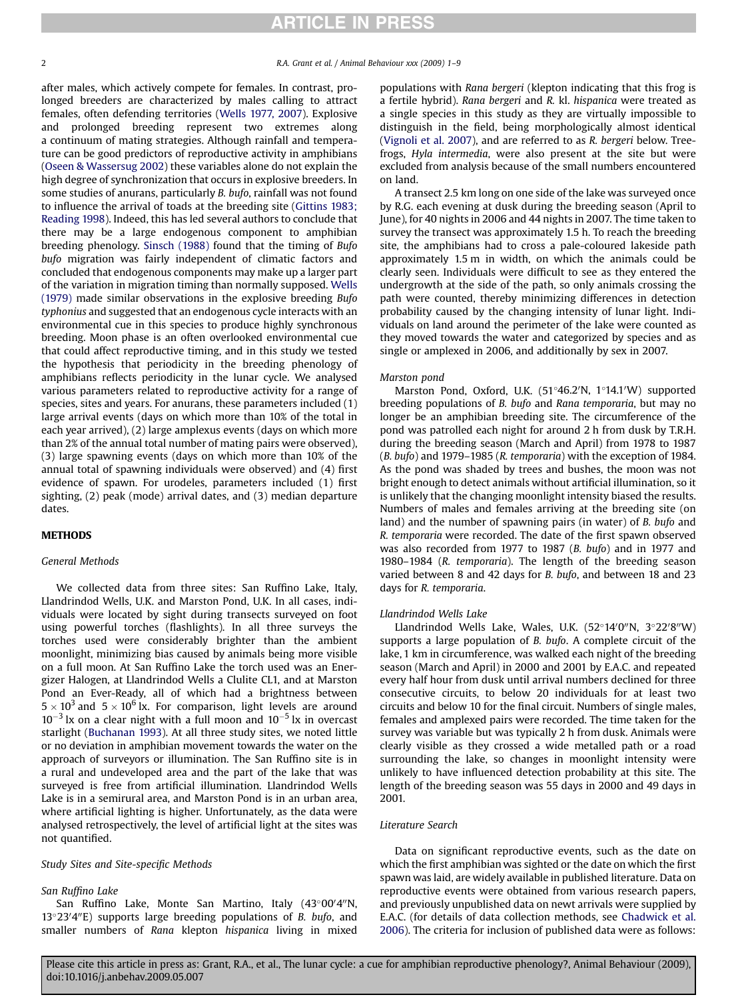after males, which actively compete for females. In contrast, prolonged breeders are characterized by males calling to attract females, often defending territories [\(Wells 1977, 2007](#page-8-0)). Explosive and prolonged breeding represent two extremes along a continuum of mating strategies. Although rainfall and temperature can be good predictors of reproductive activity in amphibians ([Oseen & Wassersug 2002](#page-8-0)) these variables alone do not explain the high degree of synchronization that occurs in explosive breeders. In some studies of anurans, particularly B. bufo, rainfall was not found to influence the arrival of toads at the breeding site ([Gittins 1983;](#page-8-0) [Reading 1998](#page-8-0)). Indeed, this has led several authors to conclude that there may be a large endogenous component to amphibian breeding phenology. [Sinsch \(1988\)](#page-8-0) found that the timing of Bufo bufo migration was fairly independent of climatic factors and concluded that endogenous components may make up a larger part of the variation in migration timing than normally supposed. [Wells](#page-8-0) [\(1979\)](#page-8-0) made similar observations in the explosive breeding Bufo typhonius and suggested that an endogenous cycle interacts with an environmental cue in this species to produce highly synchronous breeding. Moon phase is an often overlooked environmental cue that could affect reproductive timing, and in this study we tested the hypothesis that periodicity in the breeding phenology of amphibians reflects periodicity in the lunar cycle. We analysed various parameters related to reproductive activity for a range of species, sites and years. For anurans, these parameters included (1) large arrival events (days on which more than 10% of the total in each year arrived), (2) large amplexus events (days on which more than 2% of the annual total number of mating pairs were observed), (3) large spawning events (days on which more than 10% of the annual total of spawning individuals were observed) and (4) first evidence of spawn. For urodeles, parameters included (1) first sighting, (2) peak (mode) arrival dates, and (3) median departure dates.

#### **METHODS**

#### General Methods

We collected data from three sites: San Ruffino Lake, Italy, Llandrindod Wells, U.K. and Marston Pond, U.K. In all cases, individuals were located by sight during transects surveyed on foot using powerful torches (flashlights). In all three surveys the torches used were considerably brighter than the ambient moonlight, minimizing bias caused by animals being more visible on a full moon. At San Ruffino Lake the torch used was an Energizer Halogen, at Llandrindod Wells a Clulite CL1, and at Marston Pond an Ever-Ready, all of which had a brightness between  $5 \times 10^3$  and  $5 \times 10^6$  lx. For comparison, light levels are around  $10^{-3}$  lx on a clear night with a full moon and  $10^{-5}$  lx in overcast starlight [\(Buchanan 1993\)](#page-8-0). At all three study sites, we noted little or no deviation in amphibian movement towards the water on the approach of surveyors or illumination. The San Ruffino site is in a rural and undeveloped area and the part of the lake that was surveyed is free from artificial illumination. Llandrindod Wells Lake is in a semirural area, and Marston Pond is in an urban area, where artificial lighting is higher. Unfortunately, as the data were analysed retrospectively, the level of artificial light at the sites was not quantified.

### Study Sites and Site-specific Methods

### San Ruffino Lake

San Ruffino Lake, Monte San Martino, Italy (43°00'4"N,  $13°23'4''E$ ) supports large breeding populations of B. bufo, and smaller numbers of Rana klepton hispanica living in mixed populations with Rana bergeri (klepton indicating that this frog is a fertile hybrid). Rana bergeri and R. kl. hispanica were treated as a single species in this study as they are virtually impossible to distinguish in the field, being morphologically almost identical ([Vignoli et al. 2007\)](#page-8-0), and are referred to as R. bergeri below. Treefrogs, Hyla intermedia, were also present at the site but were excluded from analysis because of the small numbers encountered on land.

A transect 2.5 km long on one side of the lake was surveyed once by R.G. each evening at dusk during the breeding season (April to June), for 40 nights in 2006 and 44 nights in 2007. The time taken to survey the transect was approximately 1.5 h. To reach the breeding site, the amphibians had to cross a pale-coloured lakeside path approximately 1.5 m in width, on which the animals could be clearly seen. Individuals were difficult to see as they entered the undergrowth at the side of the path, so only animals crossing the path were counted, thereby minimizing differences in detection probability caused by the changing intensity of lunar light. Individuals on land around the perimeter of the lake were counted as they moved towards the water and categorized by species and as single or amplexed in 2006, and additionally by sex in 2007.

#### Marston pond

Marston Pond, Oxford, U.K. (51°46.2'N, 1°14.1'W) supported breeding populations of B. bufo and Rana temporaria, but may no longer be an amphibian breeding site. The circumference of the pond was patrolled each night for around 2 h from dusk by T.R.H. during the breeding season (March and April) from 1978 to 1987 (B. bufo) and 1979–1985 (R. temporaria) with the exception of 1984. As the pond was shaded by trees and bushes, the moon was not bright enough to detect animals without artificial illumination, so it is unlikely that the changing moonlight intensity biased the results. Numbers of males and females arriving at the breeding site (on land) and the number of spawning pairs (in water) of B. bufo and R. temporaria were recorded. The date of the first spawn observed was also recorded from 1977 to 1987 (B. bufo) and in 1977 and 1980–1984 (R. temporaria). The length of the breeding season varied between 8 and 42 days for B. bufo, and between 18 and 23 days for R. temporaria.

#### Llandrindod Wells Lake

Llandrindod Wells Lake, Wales, U.K. (52°14'0"N, 3°22'8"W) supports a large population of B. bufo. A complete circuit of the lake, 1 km in circumference, was walked each night of the breeding season (March and April) in 2000 and 2001 by E.A.C. and repeated every half hour from dusk until arrival numbers declined for three consecutive circuits, to below 20 individuals for at least two circuits and below 10 for the final circuit. Numbers of single males, females and amplexed pairs were recorded. The time taken for the survey was variable but was typically 2 h from dusk. Animals were clearly visible as they crossed a wide metalled path or a road surrounding the lake, so changes in moonlight intensity were unlikely to have influenced detection probability at this site. The length of the breeding season was 55 days in 2000 and 49 days in 2001.

### Literature Search

Data on significant reproductive events, such as the date on which the first amphibian was sighted or the date on which the first spawn was laid, are widely available in published literature. Data on reproductive events were obtained from various research papers, and previously unpublished data on newt arrivals were supplied by E.A.C. (for details of data collection methods, see [Chadwick et al.](#page-8-0) [2006](#page-8-0)). The criteria for inclusion of published data were as follows: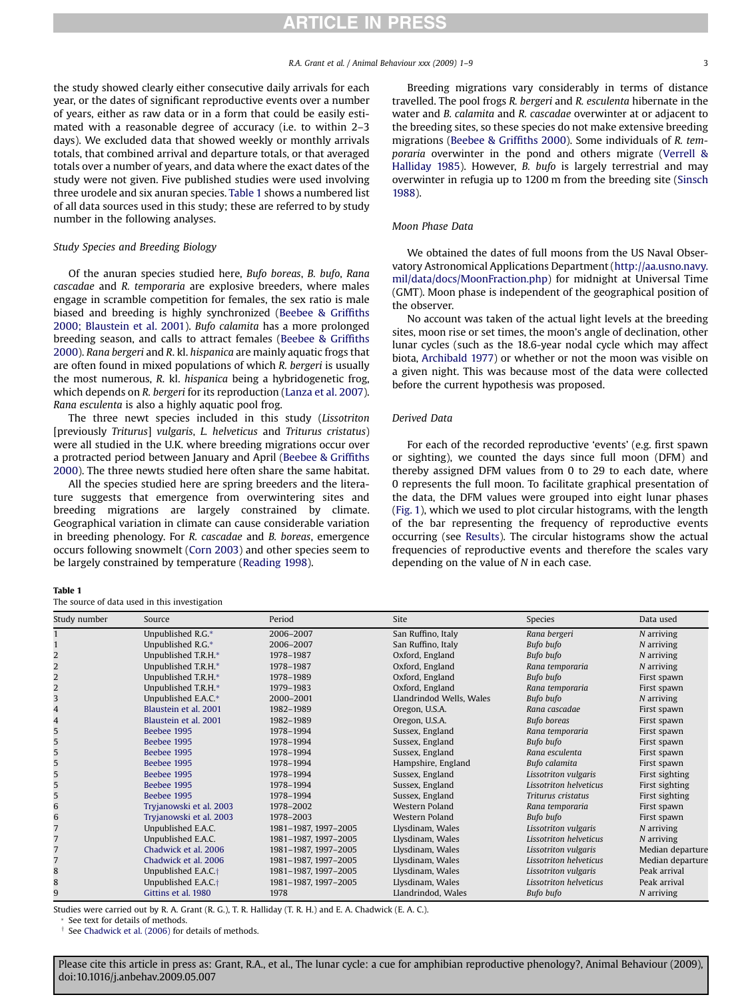<span id="page-2-0"></span>the study showed clearly either consecutive daily arrivals for each year, or the dates of significant reproductive events over a number of years, either as raw data or in a form that could be easily estimated with a reasonable degree of accuracy (i.e. to within 2–3 days). We excluded data that showed weekly or monthly arrivals totals, that combined arrival and departure totals, or that averaged totals over a number of years, and data where the exact dates of the study were not given. Five published studies were used involving three urodele and six anuran species. Table 1 shows a numbered list of all data sources used in this study; these are referred to by study number in the following analyses.

## Study Species and Breeding Biology

Of the anuran species studied here, Bufo boreas, B. bufo, Rana cascadae and R. temporaria are explosive breeders, where males engage in scramble competition for females, the sex ratio is male biased and breeding is highly synchronized ([Beebee & Griffiths](#page-7-0) [2000; Blaustein et al. 2001\)](#page-7-0). Bufo calamita has a more prolonged breeding season, and calls to attract females ([Beebee & Griffiths](#page-7-0) [2000](#page-7-0)). Rana bergeri and R. kl. hispanica are mainly aquatic frogs that are often found in mixed populations of which R. bergeri is usually the most numerous, R. kl. hispanica being a hybridogenetic frog, which depends on R. bergeri for its reproduction ([Lanza et al. 2007\)](#page-8-0). Rana esculenta is also a highly aquatic pool frog.

The three newt species included in this study (Lissotriton [previously Triturus] vulgaris, L. helveticus and Triturus cristatus) were all studied in the U.K. where breeding migrations occur over a protracted period between January and April ([Beebee & Griffiths](#page-7-0) [2000\)](#page-7-0). The three newts studied here often share the same habitat.

All the species studied here are spring breeders and the literature suggests that emergence from overwintering sites and breeding migrations are largely constrained by climate. Geographical variation in climate can cause considerable variation in breeding phenology. For R. cascadae and B. boreas, emergence occurs following snowmelt [\(Corn 2003\)](#page-8-0) and other species seem to be largely constrained by temperature ([Reading 1998](#page-8-0)).

|--|--|

The source of data used in this investigation

Breeding migrations vary considerably in terms of distance travelled. The pool frogs R. bergeri and R. esculenta hibernate in the water and B. calamita and R. cascadae overwinter at or adjacent to the breeding sites, so these species do not make extensive breeding migrations [\(Beebee & Griffiths 2000\)](#page-7-0). Some individuals of R. temporaria overwinter in the pond and others migrate ([Verrell &](#page-8-0) [Halliday 1985](#page-8-0)). However, B. bufo is largely terrestrial and may overwinter in refugia up to 1200 m from the breeding site [\(Sinsch](#page-8-0) [1988\)](#page-8-0).

# Moon Phase Data

We obtained the dates of full moons from the US Naval Observatory Astronomical Applications Department [\(http://aa.usno.navy.](http://aa.usno.navy.mil/data/docs/MoonFraction.php) [mil/data/docs/MoonFraction.php](http://aa.usno.navy.mil/data/docs/MoonFraction.php)) for midnight at Universal Time (GMT). Moon phase is independent of the geographical position of the observer.

No account was taken of the actual light levels at the breeding sites, moon rise or set times, the moon's angle of declination, other lunar cycles (such as the 18.6-year nodal cycle which may affect biota, [Archibald 1977](#page-7-0)) or whether or not the moon was visible on a given night. This was because most of the data were collected before the current hypothesis was proposed.

### Derived Data

For each of the recorded reproductive 'events' (e.g. first spawn or sighting), we counted the days since full moon (DFM) and thereby assigned DFM values from 0 to 29 to each date, where 0 represents the full moon. To facilitate graphical presentation of the data, the DFM values were grouped into eight lunar phases ([Fig. 1\)](#page-3-0), which we used to plot circular histograms, with the length of the bar representing the frequency of reproductive events occurring (see [Results\)](#page-3-0). The circular histograms show the actual frequencies of reproductive events and therefore the scales vary depending on the value of N in each case.

| Study number | Source                       | Period               | <b>Site</b>              | Species                       | Data used        |
|--------------|------------------------------|----------------------|--------------------------|-------------------------------|------------------|
|              | Unpublished R.G.*            | 2006-2007            | San Ruffino, Italy       | Rana bergeri                  | $N$ arriving     |
|              | Unpublished R.G.*            | 2006-2007            | San Ruffino, Italy       | Bufo bufo                     | $N$ arriving     |
|              | Unpublished T.R.H.*          | 1978-1987            | Oxford, England          | Bufo bufo                     | $N$ arriving     |
|              | Unpublished T.R.H.*          | 1978-1987            | Oxford, England          | Rana temporaria               | N arriving       |
|              | Unpublished T.R.H.*          | 1978-1989            | Oxford, England          | Bufo bufo                     | First spawn      |
|              | Unpublished T.R.H.*          | 1979-1983            | Oxford, England          | Rana temporaria               | First spawn      |
|              | Unpublished E.A.C.*          | 2000-2001            | Llandrindod Wells, Wales | Bufo bufo                     | N arriving       |
|              | Blaustein et al. 2001        | 1982-1989            | Oregon, U.S.A.           | Rana cascadae                 | First spawn      |
|              | Blaustein et al. 2001        | 1982-1989            | Oregon, U.S.A.           | <b>Bufo boreas</b>            | First spawn      |
|              | Beebee 1995                  | 1978-1994            | Sussex, England          | Rana temporaria               | First spawn      |
|              | Beebee 1995                  | 1978-1994            | Sussex, England          | Bufo bufo                     | First spawn      |
|              | Beebee 1995                  | 1978-1994            | Sussex, England          | Rana esculenta                | First spawn      |
|              | Beebee 1995                  | 1978-1994            | Hampshire, England       | Bufo calamita                 | First spawn      |
| 5            | Beebee 1995                  | 1978-1994            | Sussex, England          | Lissotriton vulgaris          | First sighting   |
|              | Beebee 1995                  | 1978-1994            | Sussex, England          | <b>Lissotriton helveticus</b> | First sighting   |
|              | Beebee 1995                  | 1978-1994            | Sussex, England          | Triturus cristatus            | First sighting   |
| հ            | Tryjanowski et al. 2003      | 1978-2002            | Western Poland           | Rana temporaria               | First spawn      |
| 6            | Tryjanowski et al. 2003      | 1978-2003            | Western Poland           | Bufo bufo                     | First spawn      |
|              | Unpublished E.A.C.           | 1981-1987, 1997-2005 | Llysdinam, Wales         | Lissotriton vulgaris          | $N$ arriving     |
|              | Unpublished E.A.C.           | 1981-1987. 1997-2005 | Llysdinam, Wales         | <b>Lissotriton helveticus</b> | N arriving       |
|              | Chadwick et al. 2006         | 1981-1987, 1997-2005 | Llysdinam, Wales         | Lissotriton vulgaris          | Median departure |
|              | Chadwick et al. 2006         | 1981-1987, 1997-2005 | Llysdinam, Wales         | Lissotriton helveticus        | Median departure |
| 8            | Unpublished $E.A.C.†$        | 1981-1987, 1997-2005 | Llysdinam, Wales         | Lissotriton vulgaris          | Peak arrival     |
| 8            | Unpublished E.A.C. $\dagger$ | 1981-1987, 1997-2005 | Llysdinam, Wales         | Lissotriton helveticus        | Peak arrival     |
| 9            | Gittins et al. 1980          | 1978                 | Llandrindod, Wales       | Bufo bufo                     | N arriving       |

Studies were carried out by R. A. Grant (R. G.), T. R. Halliday (T. R. H.) and E. A. Chadwick (E. A. C.).

See text for details of methods.

See [Chadwick et al. \(2006\)](#page-8-0) for details of methods.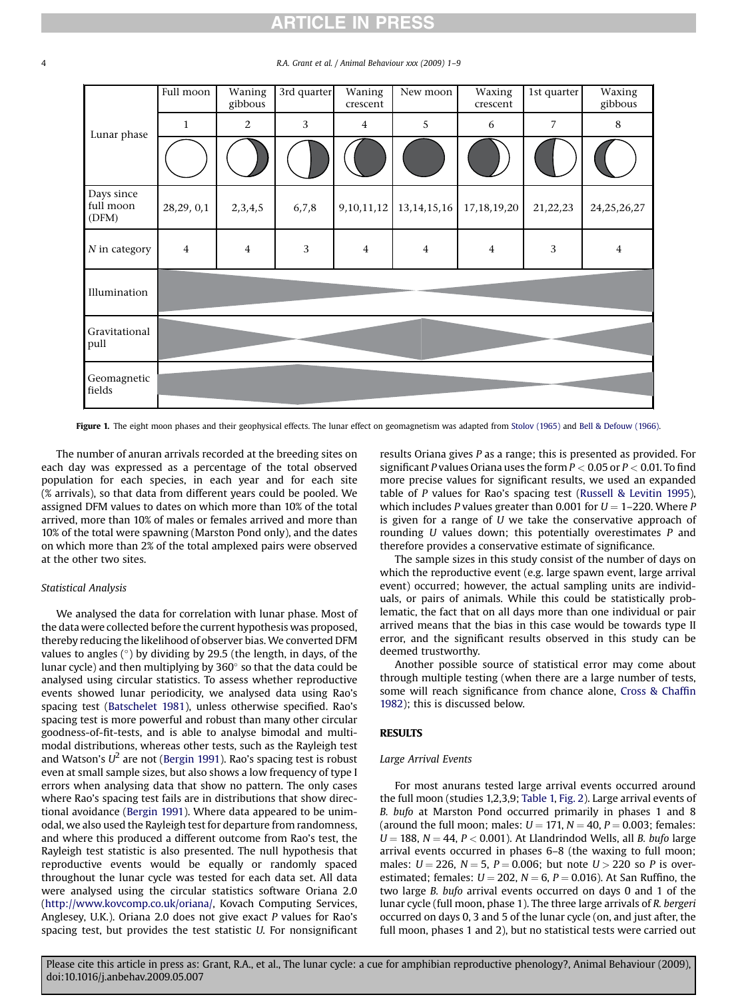<span id="page-3-0"></span>

4 R.A. Grant et al. / Animal Behaviour xxx (2009) 1–9

| Lunar phase                      | Full moon      | Waning<br>gibbous | 3rd quarter | Waning<br>crescent | New moon       | Waxing<br>crescent | 1st quarter    | Waxing<br>gibbous |
|----------------------------------|----------------|-------------------|-------------|--------------------|----------------|--------------------|----------------|-------------------|
|                                  | $\mathbf{1}$   | 2                 | 3           | $\overline{4}$     | 5              | 6                  | $\overline{7}$ | 8                 |
|                                  |                |                   |             |                    |                |                    |                |                   |
| Days since<br>full moon<br>(DFM) | 28,29, 0,1     | 2,3,4,5           | 6,7,8       | 9,10,11,12         | 13, 14, 15, 16 | 17, 18, 19, 20     | 21,22,23       | 24, 25, 26, 27    |
| $N$ in category                  | $\overline{4}$ | $\overline{4}$    | 3           | $\overline{4}$     | $\overline{4}$ | $\overline{4}$     | 3              | $\overline{4}$    |
| Illumination                     |                |                   |             |                    |                |                    |                |                   |
| Gravitational<br>pull            |                |                   |             |                    |                |                    |                |                   |
| Geomagnetic<br>fields            |                |                   |             |                    |                |                    |                |                   |

Figure 1. The eight moon phases and their geophysical effects. The lunar effect on geomagnetism was adapted from [Stolov \(1965\)](#page-8-0) and [Bell & Defouw \(1966\).](#page-8-0)

The number of anuran arrivals recorded at the breeding sites on each day was expressed as a percentage of the total observed population for each species, in each year and for each site (% arrivals), so that data from different years could be pooled. We assigned DFM values to dates on which more than 10% of the total arrived, more than 10% of males or females arrived and more than 10% of the total were spawning (Marston Pond only), and the dates on which more than 2% of the total amplexed pairs were observed at the other two sites.

# Statistical Analysis

We analysed the data for correlation with lunar phase. Most of the data were collected before the current hypothesis was proposed, thereby reducing the likelihood of observer bias. We converted DFM values to angles  $(°)$  by dividing by 29.5 (the length, in days, of the lunar cycle) and then multiplying by  $360^\circ$  so that the data could be analysed using circular statistics. To assess whether reproductive events showed lunar periodicity, we analysed data using Rao's spacing test [\(Batschelet 1981](#page-7-0)), unless otherwise specified. Rao's spacing test is more powerful and robust than many other circular goodness-of-fit-tests, and is able to analyse bimodal and multimodal distributions, whereas other tests, such as the Rayleigh test and Watson's  $U^2$  are not ([Bergin 1991\)](#page-8-0). Rao's spacing test is robust even at small sample sizes, but also shows a low frequency of type I errors when analysing data that show no pattern. The only cases where Rao's spacing test fails are in distributions that show directional avoidance ([Bergin 1991](#page-8-0)). Where data appeared to be unimodal, we also used the Rayleigh test for departure from randomness, and where this produced a different outcome from Rao's test, the Rayleigh test statistic is also presented. The null hypothesis that reproductive events would be equally or randomly spaced throughout the lunar cycle was tested for each data set. All data were analysed using the circular statistics software Oriana 2.0 ([http://www.kovcomp.co.uk/oriana/,](http://www.kovcomp.co.uk/oriana) Kovach Computing Services, Anglesey, U.K.). Oriana 2.0 does not give exact P values for Rao's spacing test, but provides the test statistic U. For nonsignificant results Oriana gives P as a range; this is presented as provided. For significant P values Oriana uses the form  $P < 0.05$  or  $P < 0.01$ . To find more precise values for significant results, we used an expanded table of P values for Rao's spacing test ([Russell & Levitin 1995\)](#page-8-0), which includes P values greater than 0.001 for  $U = 1-220$ . Where P is given for a range of U we take the conservative approach of rounding U values down; this potentially overestimates P and therefore provides a conservative estimate of significance.

The sample sizes in this study consist of the number of days on which the reproductive event (e.g. large spawn event, large arrival event) occurred; however, the actual sampling units are individuals, or pairs of animals. While this could be statistically problematic, the fact that on all days more than one individual or pair arrived means that the bias in this case would be towards type II error, and the significant results observed in this study can be deemed trustworthy.

Another possible source of statistical error may come about through multiple testing (when there are a large number of tests, some will reach significance from chance alone, [Cross & Chaffin](#page-8-0) [1982](#page-8-0)); this is discussed below.

# **RESULTS**

### Large Arrival Events

For most anurans tested large arrival events occurred around the full moon (studies 1,2,3,9; [Table 1,](#page-2-0) [Fig. 2\)](#page-4-0). Large arrival events of B. bufo at Marston Pond occurred primarily in phases 1 and 8 (around the full moon; males:  $U = 171$ ,  $N = 40$ ,  $P = 0.003$ ; females:  $U = 188$ ,  $N = 44$ ,  $P < 0.001$ ). At Llandrindod Wells, all B. bufo large arrival events occurred in phases 6–8 (the waxing to full moon; males:  $U = 226$ ,  $N = 5$ ,  $P = 0.006$ ; but note  $U > 220$  so P is overestimated; females:  $U = 202$ ,  $N = 6$ ,  $P = 0.016$ ). At San Ruffino, the two large B. bufo arrival events occurred on days 0 and 1 of the lunar cycle (full moon, phase 1). The three large arrivals of R. bergeri occurred on days 0, 3 and 5 of the lunar cycle (on, and just after, the full moon, phases 1 and 2), but no statistical tests were carried out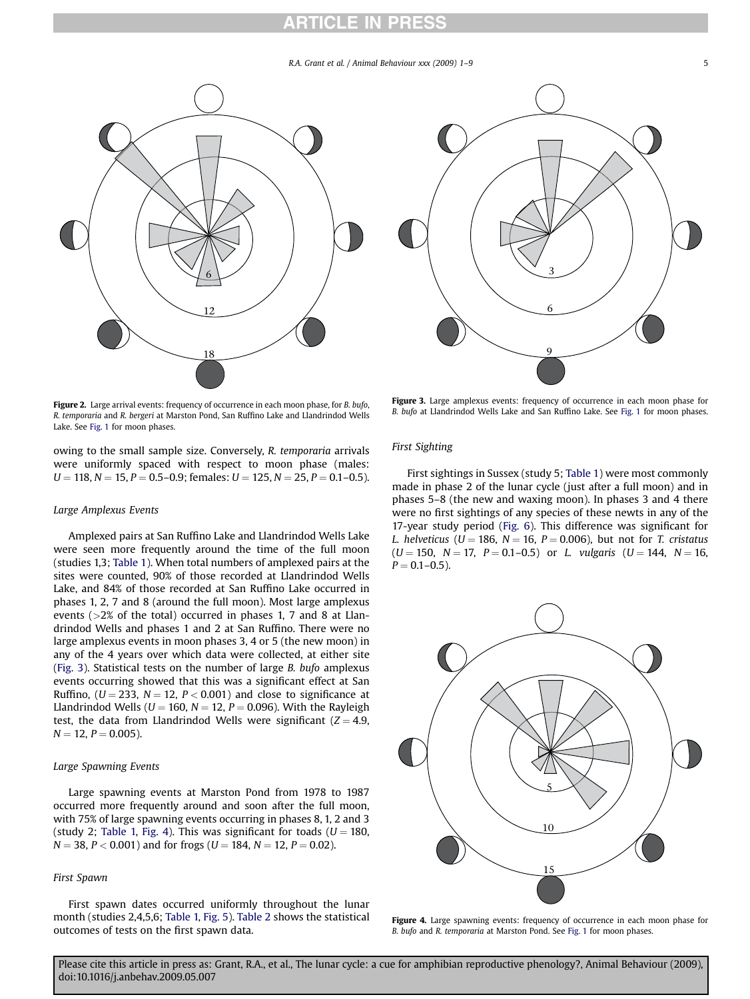#### R.A. Grant et al. / Animal Behaviour xxx (2009) 1–9 5

<span id="page-4-0"></span>

Figure 2. Large arrival events: frequency of occurrence in each moon phase, for B. bufo, R. temporaria and R. bergeri at Marston Pond, San Ruffino Lake and Llandrindod Wells Lake. See [Fig. 1](#page-3-0) for moon phases.

owing to the small sample size. Conversely, R. temporaria arrivals were uniformly spaced with respect to moon phase (males:  $U = 118, N = 15, P = 0.5 - 0.9$ ; females:  $U = 125, N = 25, P = 0.1 - 0.5$ ).

### Large Amplexus Events

Amplexed pairs at San Ruffino Lake and Llandrindod Wells Lake were seen more frequently around the time of the full moon (studies 1,3; [Table 1\)](#page-2-0). When total numbers of amplexed pairs at the sites were counted, 90% of those recorded at Llandrindod Wells Lake, and 84% of those recorded at San Ruffino Lake occurred in phases 1, 2, 7 and 8 (around the full moon). Most large amplexus events (>2% of the total) occurred in phases 1, 7 and 8 at Llandrindod Wells and phases 1 and 2 at San Ruffino. There were no large amplexus events in moon phases 3, 4 or 5 (the new moon) in any of the 4 years over which data were collected, at either site (Fig. 3). Statistical tests on the number of large B. bufo amplexus events occurring showed that this was a significant effect at San Ruffino, ( $U = 233$ ,  $N = 12$ ,  $P < 0.001$ ) and close to significance at Llandrindod Wells ( $U = 160$ ,  $N = 12$ ,  $P = 0.096$ ). With the Rayleigh test, the data from Llandrindod Wells were significant  $(Z = 4.9,$  $N = 12$ ,  $P = 0.005$ ).

# Large Spawning Events

Large spawning events at Marston Pond from 1978 to 1987 occurred more frequently around and soon after the full moon, with 75% of large spawning events occurring in phases 8, 1, 2 and 3 (study 2; [Table 1,](#page-2-0) Fig. 4). This was significant for toads ( $U = 180$ ,  $N = 38$ ,  $P < 0.001$ ) and for frogs (U = 184, N = 12, P = 0.02).

# First Spawn

First spawn dates occurred uniformly throughout the lunar month (studies 2,4,5,6; [Table 1,](#page-2-0) [Fig. 5](#page-5-0)). [Table 2](#page-5-0) shows the statistical outcomes of tests on the first spawn data.



Figure 3. Large amplexus events: frequency of occurrence in each moon phase for B. bufo at Llandrindod Wells Lake and San Ruffino Lake. See [Fig. 1](#page-3-0) for moon phases.

# First Sighting

First sightings in Sussex (study 5; [Table 1\)](#page-2-0) were most commonly made in phase 2 of the lunar cycle (just after a full moon) and in phases 5–8 (the new and waxing moon). In phases 3 and 4 there were no first sightings of any species of these newts in any of the 17-year study period ([Fig. 6\)](#page-5-0). This difference was significant for L. helveticus (U = 186, N = 16, P = 0.006), but not for T. cristatus  $(U = 150, N = 17, P = 0.1 - 0.5)$  or L. vulgaris  $(U = 144, N = 16,$  $P = 0.1 - 0.5$ ).



Figure 4. Large spawning events: frequency of occurrence in each moon phase for B. bufo and R. temporaria at Marston Pond. See [Fig. 1](#page-3-0) for moon phases.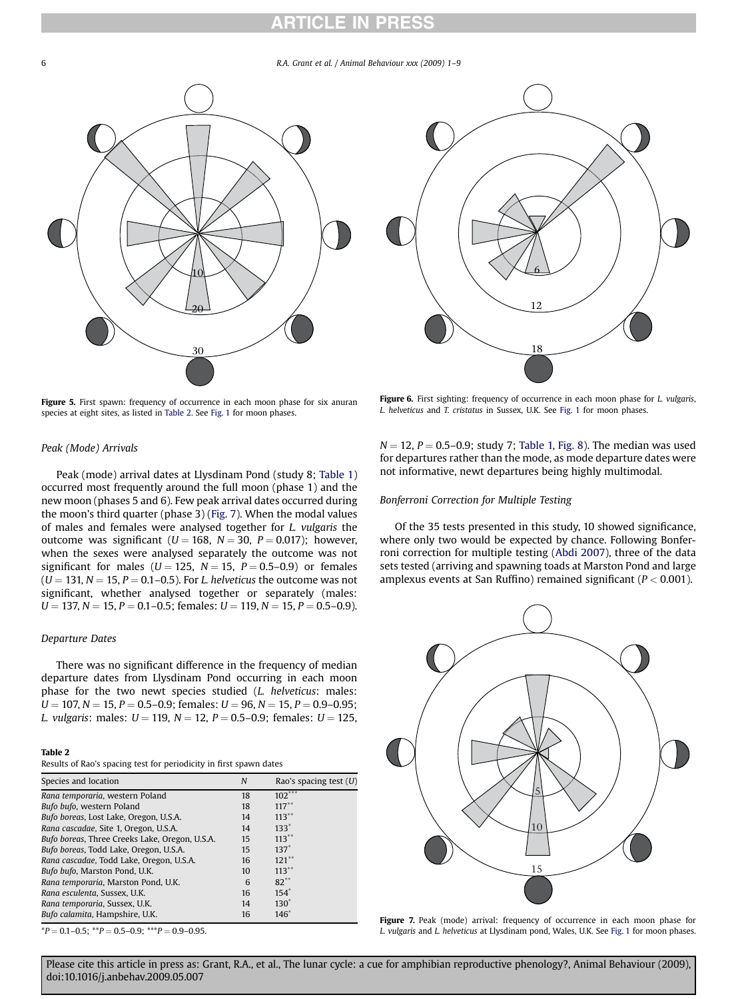<span id="page-5-0"></span>6 R.A. Grant et al. / Animal Behaviour xxx (2009) 1–9



Figure 5. First spawn: frequency of occurrence in each moon phase for six anuran species at eight sites, as listed in Table 2. See [Fig. 1](#page-3-0) for moon phases.

# Peak (Mode) Arrivals

Peak (mode) arrival dates at Llysdinam Pond (study 8; [Table 1\)](#page-2-0) occurred most frequently around the full moon (phase 1) and the new moon (phases 5 and 6). Few peak arrival dates occurred during the moon's third quarter (phase 3) (Fig. 7). When the modal values of males and females were analysed together for L. vulgaris the outcome was significant ( $U = 168$ ,  $N = 30$ ,  $P = 0.017$ ); however, when the sexes were analysed separately the outcome was not significant for males ( $U = 125$ ,  $N = 15$ ,  $P = 0.5-0.9$ ) or females  $(U = 131, N = 15, P = 0.1 - 0.5)$ . For L. helveticus the outcome was not significant, whether analysed together or separately (males:  $U = 137, N = 15, P = 0.1 - 0.5$ ; females:  $U = 119, N = 15, P = 0.5 - 0.9$ ).

# Departure Dates

There was no significant difference in the frequency of median departure dates from Llysdinam Pond occurring in each moon phase for the two newt species studied (L. helveticus: males:  $U = 107, N = 15, P = 0.5 - 0.9$ ; females:  $U = 96, N = 15, P = 0.9 - 0.95$ ; L. vulgaris: males:  $U = 119$ ,  $N = 12$ ,  $P = 0.5-0.9$ ; females:  $U = 125$ ,

#### Table 2

| Results of Rao's spacing test for periodicity in first spawn dates |  |  |
|--------------------------------------------------------------------|--|--|
|--------------------------------------------------------------------|--|--|

| Species and location                           | N  | Rao's spacing test $(U)$ |
|------------------------------------------------|----|--------------------------|
| Rana temporaria, western Poland                | 18 | $102***$                 |
| Bufo bufo, western Poland                      | 18 | $117***$                 |
| Bufo boreas, Lost Lake, Oregon, U.S.A.         | 14 | $113***$                 |
| Rana cascadae, Site 1, Oregon, U.S.A.          | 14 | $133*$                   |
| Bufo boreas, Three Creeks Lake, Oregon, U.S.A. | 15 | $113***$                 |
| Bufo boreas, Todd Lake, Oregon, U.S.A.         | 15 | $137*$                   |
| Rana cascadae, Todd Lake, Oregon, U.S.A.       | 16 | $121***$                 |
| Bufo bufo, Marston Pond, U.K.                  | 10 | $113***$                 |
| Rana temporaria, Marston Pond, U.K.            | 6  | $82^{**}$                |
| Rana esculenta, Sussex, U.K.                   | 16 | $154*$                   |
| Rana temporaria, Sussex, U.K.                  | 14 | $130^*$                  |
| Bufo calamita, Hampshire, U.K.                 | 16 | $146*$                   |

 $*P = 0.1 - 0.5$ ;  $*P = 0.5 - 0.9$ ;  $*^{*P} = 0.9 - 0.95$ .



Figure 6. First sighting: frequency of occurrence in each moon phase for *L. vulgaris*, L. helveticus and T. cristatus in Sussex, U.K. See [Fig. 1](#page-3-0) for moon phases.

 $N = 12$ ,  $P = 0.5 - 0.9$ ; study 7; [Table 1,](#page-2-0) [Fig. 8](#page-6-0)). The median was used for departures rather than the mode, as mode departure dates were not informative, newt departures being highly multimodal.

### Bonferroni Correction for Multiple Testing

Of the 35 tests presented in this study, 10 showed significance, where only two would be expected by chance. Following Bonferroni correction for multiple testing [\(Abdi 2007\)](#page-7-0), three of the data sets tested (arriving and spawning toads at Marston Pond and large amplexus events at San Ruffino) remained significant ( $P < 0.001$ ).



Figure 7. Peak (mode) arrival: frequency of occurrence in each moon phase for L. vulgaris and L. helveticus at Llysdinam pond, Wales, U.K. See [Fig. 1](#page-3-0) for moon phases.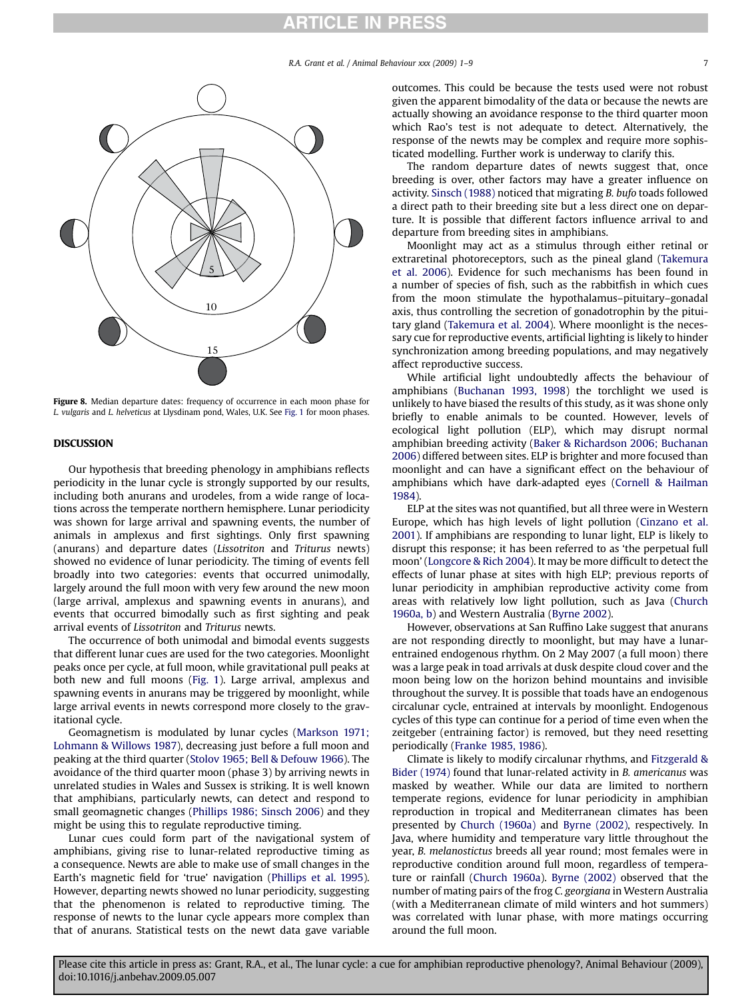R.A. Grant et al. / Animal Behaviour xxx (2009) 1-9

<span id="page-6-0"></span>

Figure 8. Median departure dates: frequency of occurrence in each moon phase for L. vulgaris and L. helveticus at Llysdinam pond, Wales, U.K. See [Fig. 1](#page-3-0) for moon phases.

# DISCUSSION

Our hypothesis that breeding phenology in amphibians reflects periodicity in the lunar cycle is strongly supported by our results, including both anurans and urodeles, from a wide range of locations across the temperate northern hemisphere. Lunar periodicity was shown for large arrival and spawning events, the number of animals in amplexus and first sightings. Only first spawning (anurans) and departure dates (Lissotriton and Triturus newts) showed no evidence of lunar periodicity. The timing of events fell broadly into two categories: events that occurred unimodally, largely around the full moon with very few around the new moon (large arrival, amplexus and spawning events in anurans), and events that occurred bimodally such as first sighting and peak arrival events of Lissotriton and Triturus newts.

The occurrence of both unimodal and bimodal events suggests that different lunar cues are used for the two categories. Moonlight peaks once per cycle, at full moon, while gravitational pull peaks at both new and full moons ([Fig. 1](#page-3-0)). Large arrival, amplexus and spawning events in anurans may be triggered by moonlight, while large arrival events in newts correspond more closely to the gravitational cycle.

Geomagnetism is modulated by lunar cycles ([Markson 1971;](#page-8-0) [Lohmann & Willows 1987](#page-8-0)), decreasing just before a full moon and peaking at the third quarter ([Stolov 1965; Bell & Defouw 1966\)](#page-8-0). The avoidance of the third quarter moon (phase 3) by arriving newts in unrelated studies in Wales and Sussex is striking. It is well known that amphibians, particularly newts, can detect and respond to small geomagnetic changes ([Phillips 1986; Sinsch 2006](#page-8-0)) and they might be using this to regulate reproductive timing.

Lunar cues could form part of the navigational system of amphibians, giving rise to lunar-related reproductive timing as a consequence. Newts are able to make use of small changes in the Earth's magnetic field for 'true' navigation ([Phillips et al. 1995\)](#page-8-0). However, departing newts showed no lunar periodicity, suggesting that the phenomenon is related to reproductive timing. The response of newts to the lunar cycle appears more complex than that of anurans. Statistical tests on the newt data gave variable outcomes. This could be because the tests used were not robust given the apparent bimodality of the data or because the newts are actually showing an avoidance response to the third quarter moon which Rao's test is not adequate to detect. Alternatively, the response of the newts may be complex and require more sophisticated modelling. Further work is underway to clarify this.

The random departure dates of newts suggest that, once breeding is over, other factors may have a greater influence on activity. [Sinsch \(1988\)](#page-8-0) noticed that migrating B. bufo toads followed a direct path to their breeding site but a less direct one on departure. It is possible that different factors influence arrival to and departure from breeding sites in amphibians.

Moonlight may act as a stimulus through either retinal or extraretinal photoreceptors, such as the pineal gland [\(Takemura](#page-8-0) [et al. 2006\)](#page-8-0). Evidence for such mechanisms has been found in a number of species of fish, such as the rabbitfish in which cues from the moon stimulate the hypothalamus–pituitary–gonadal axis, thus controlling the secretion of gonadotrophin by the pituitary gland ([Takemura et al. 2004](#page-8-0)). Where moonlight is the necessary cue for reproductive events, artificial lighting is likely to hinder synchronization among breeding populations, and may negatively affect reproductive success.

While artificial light undoubtedly affects the behaviour of amphibians ([Buchanan 1993, 1998](#page-8-0)) the torchlight we used is unlikely to have biased the results of this study, as it was shone only briefly to enable animals to be counted. However, levels of ecological light pollution (ELP), which may disrupt normal amphibian breeding activity ([Baker & Richardson 2006; Buchanan](#page-7-0) [2006\)](#page-7-0) differed between sites. ELP is brighter and more focused than moonlight and can have a significant effect on the behaviour of amphibians which have dark-adapted eyes ([Cornell & Hailman](#page-8-0) [1984\)](#page-8-0).

ELP at the sites was not quantified, but all three were in Western Europe, which has high levels of light pollution ([Cinzano](#page-8-0) et al. [2001](#page-8-0)). If amphibians are responding to lunar light, ELP is likely to disrupt this response; it has been referred to as 'the perpetual full moon' ([Longcore & Rich 2004\)](#page-8-0). It may be more difficult to detect the effects of lunar phase at sites with high ELP; previous reports of lunar periodicity in amphibian reproductive activity come from areas with relatively low light pollution, such as Java ([Church](#page-8-0) [1960a, b](#page-8-0)) and Western Australia ([Byrne 2002](#page-8-0)).

However, observations at San Ruffino Lake suggest that anurans are not responding directly to moonlight, but may have a lunarentrained endogenous rhythm. On 2 May 2007 (a full moon) there was a large peak in toad arrivals at dusk despite cloud cover and the moon being low on the horizon behind mountains and invisible throughout the survey. It is possible that toads have an endogenous circalunar cycle, entrained at intervals by moonlight. Endogenous cycles of this type can continue for a period of time even when the zeitgeber (entraining factor) is removed, but they need resetting periodically [\(Franke 1985, 1986\)](#page-8-0).

Climate is likely to modify circalunar rhythms, and [Fitzgerald &](#page-8-0) [Bider \(1974\)](#page-8-0) found that lunar-related activity in B. americanus was masked by weather. While our data are limited to northern temperate regions, evidence for lunar periodicity in amphibian reproduction in tropical and Mediterranean climates has been presented by [Church \(1960a\)](#page-8-0) and [Byrne \(2002\),](#page-8-0) respectively. In Java, where humidity and temperature vary little throughout the year, B. melanostictus breeds all year round; most females were in reproductive condition around full moon, regardless of temperature or rainfall [\(Church 1960a\)](#page-8-0). [Byrne \(2002\)](#page-8-0) observed that the number of mating pairs of the frog C. georgiana in Western Australia (with a Mediterranean climate of mild winters and hot summers) was correlated with lunar phase, with more matings occurring around the full moon.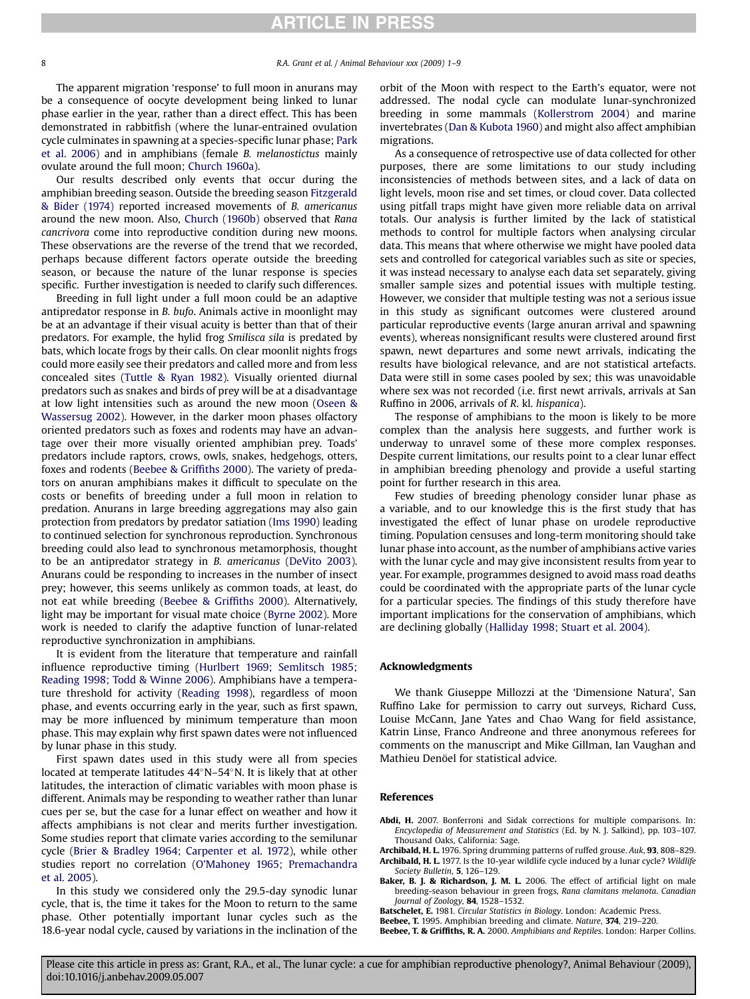<span id="page-7-0"></span>

The apparent migration 'response' to full moon in anurans may be a consequence of oocyte development being linked to lunar phase earlier in the year, rather than a direct effect. This has been demonstrated in rabbitfish (where the lunar-entrained ovulation cycle culminates in spawning at a species-specific lunar phase; [Park](#page-8-0) [et al. 2006](#page-8-0)) and in amphibians (female B. melanostictus mainly ovulate around the full moon; [Church 1960a\)](#page-8-0).

Our results described only events that occur during the amphibian breeding season. Outside the breeding season [Fitzgerald](#page-8-0) [& Bider \(1974\)](#page-8-0) reported increased movements of B. americanus around the new moon. Also, [Church \(1960b\)](#page-8-0) observed that Rana cancrivora come into reproductive condition during new moons. These observations are the reverse of the trend that we recorded, perhaps because different factors operate outside the breeding season, or because the nature of the lunar response is species specific. Further investigation is needed to clarify such differences.

Breeding in full light under a full moon could be an adaptive antipredator response in B. bufo. Animals active in moonlight may be at an advantage if their visual acuity is better than that of their predators. For example, the hylid frog Smilisca sila is predated by bats, which locate frogs by their calls. On clear moonlit nights frogs could more easily see their predators and called more and from less concealed sites [\(Tuttle & Ryan 1982](#page-8-0)). Visually oriented diurnal predators such as snakes and birds of prey will be at a disadvantage at low light intensities such as around the new moon ([Oseen &](#page-8-0) [Wassersug 2002\)](#page-8-0). However, in the darker moon phases olfactory oriented predators such as foxes and rodents may have an advantage over their more visually oriented amphibian prey. Toads' predators include raptors, crows, owls, snakes, hedgehogs, otters, foxes and rodents (Beebee & Griffiths 2000). The variety of predators on anuran amphibians makes it difficult to speculate on the costs or benefits of breeding under a full moon in relation to predation. Anurans in large breeding aggregations may also gain protection from predators by predator satiation ([Ims 1990\)](#page-8-0) leading to continued selection for synchronous reproduction. Synchronous breeding could also lead to synchronous metamorphosis, thought to be an antipredator strategy in B. americanus ([DeVito 2003\)](#page-8-0). Anurans could be responding to increases in the number of insect prey; however, this seems unlikely as common toads, at least, do not eat while breeding (Beebee & Griffiths 2000). Alternatively, light may be important for visual mate choice ([Byrne 2002\)](#page-8-0). More work is needed to clarify the adaptive function of lunar-related reproductive synchronization in amphibians.

It is evident from the literature that temperature and rainfall influence reproductive timing [\(Hurlbert 1969; Semlitsch 1985;](#page-8-0) [Reading 1998; Todd & Winne 2006](#page-8-0)). Amphibians have a temperature threshold for activity [\(Reading 1998\)](#page-8-0), regardless of moon phase, and events occurring early in the year, such as first spawn, may be more influenced by minimum temperature than moon phase. This may explain why first spawn dates were not influenced by lunar phase in this study.

First spawn dates used in this study were all from species located at temperate latitudes  $44^{\circ}N-54^{\circ}N$ . It is likely that at other latitudes, the interaction of climatic variables with moon phase is different. Animals may be responding to weather rather than lunar cues per se, but the case for a lunar effect on weather and how it affects amphibians is not clear and merits further investigation. Some studies report that climate varies according to the semilunar cycle [\(Brier & Bradley 1964; Carpenter et al. 1972\)](#page-8-0), while other studies report no correlation ([O'Mahoney 1965; Premachandra](#page-8-0) [et al. 2005\)](#page-8-0).

In this study we considered only the 29.5-day synodic lunar cycle, that is, the time it takes for the Moon to return to the same phase. Other potentially important lunar cycles such as the 18.6-year nodal cycle, caused by variations in the inclination of the

orbit of the Moon with respect to the Earth's equator, were not addressed. The nodal cycle can modulate lunar-synchronized breeding in some mammals [\(Kollerstrom 2004\)](#page-8-0) and marine invertebrates [\(Dan & Kubota 1960\)](#page-8-0) and might also affect amphibian migrations.

As a consequence of retrospective use of data collected for other purposes, there are some limitations to our study including inconsistencies of methods between sites, and a lack of data on light levels, moon rise and set times, or cloud cover. Data collected using pitfall traps might have given more reliable data on arrival totals. Our analysis is further limited by the lack of statistical methods to control for multiple factors when analysing circular data. This means that where otherwise we might have pooled data sets and controlled for categorical variables such as site or species, it was instead necessary to analyse each data set separately, giving smaller sample sizes and potential issues with multiple testing. However, we consider that multiple testing was not a serious issue in this study as significant outcomes were clustered around particular reproductive events (large anuran arrival and spawning events), whereas nonsignificant results were clustered around first spawn, newt departures and some newt arrivals, indicating the results have biological relevance, and are not statistical artefacts. Data were still in some cases pooled by sex; this was unavoidable where sex was not recorded (i.e. first newt arrivals, arrivals at San Ruffino in 2006, arrivals of R. kl. hispanica).

The response of amphibians to the moon is likely to be more complex than the analysis here suggests, and further work is underway to unravel some of these more complex responses. Despite current limitations, our results point to a clear lunar effect in amphibian breeding phenology and provide a useful starting point for further research in this area.

Few studies of breeding phenology consider lunar phase as a variable, and to our knowledge this is the first study that has investigated the effect of lunar phase on urodele reproductive timing. Population censuses and long-term monitoring should take lunar phase into account, as the number of amphibians active varies with the lunar cycle and may give inconsistent results from year to year. For example, programmes designed to avoid mass road deaths could be coordinated with the appropriate parts of the lunar cycle for a particular species. The findings of this study therefore have important implications for the conservation of amphibians, which are declining globally ([Halliday 1998; Stuart et al. 2004](#page-8-0)).

# Acknowledgments

We thank Giuseppe Millozzi at the 'Dimensione Natura', San Ruffino Lake for permission to carry out surveys, Richard Cuss, Louise McCann, Jane Yates and Chao Wang for field assistance, Katrin Linse, Franco Andreone and three anonymous referees for comments on the manuscript and Mike Gillman, Ian Vaughan and Mathieu Denöel for statistical advice.

#### References

- Abdi, H. 2007. Bonferroni and Sidak corrections for multiple comparisons. In: Encyclopedia of Measurement and Statistics (Ed. by N. J. Salkind), pp. 103–107. Thousand Oaks, California: Sage.
- Archibald, H. L. 1976. Spring drumming patterns of ruffed grouse. Auk, 93, 808–829. Archibald, H. L. 1977. Is the 10-year wildlife cycle induced by a lunar cycle? Wildlife Society Bulletin, 5, 126–129.
- Baker, B. J. & Richardson, J. M. L. 2006. The effect of artificial light on male breeding-season behaviour in green frogs, Rana clamitans melanota. Canadian Journal of Zoology, 84, 1528–1532.
- Batschelet, E. 1981. Circular Statistics in Biology. London: Academic Press.
- Beebee, T. 1995. Amphibian breeding and climate. Nature, 374, 219–220.

Beebee, T. & Griffiths, R. A. 2000. Amphibians and Reptiles. London: Harper Collins.